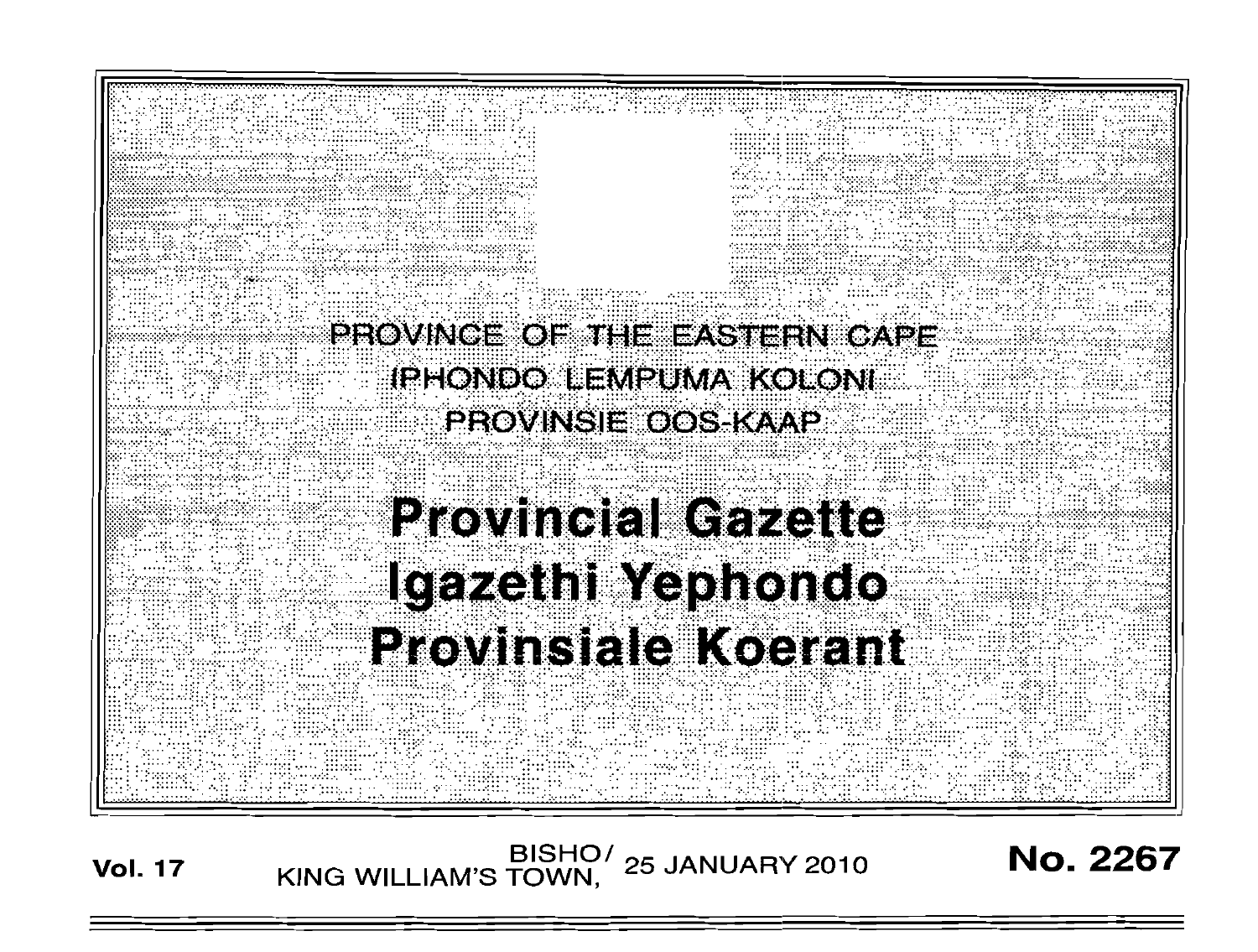

BISHO/ 25 JANUARY 2010<br>KING WILLIAM'S TOWN, 25 JANUARY 2010

**No. 2267** 

**Vol. 17**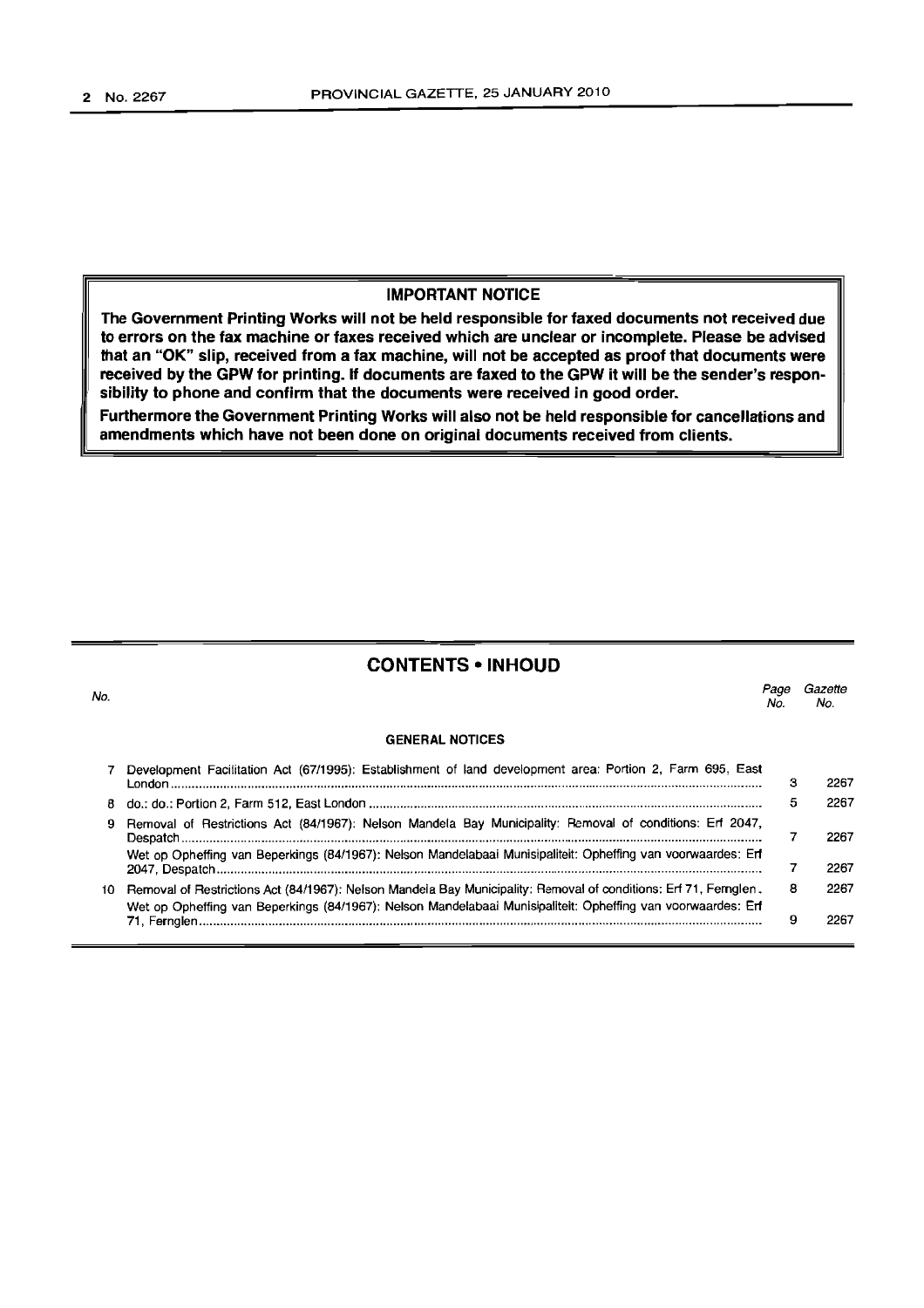## **IMPORTANT NOTICE**

**The Government Printing Works will not be held responsible for faxed documents not received due to errors on the fax machine or faxes received which are unclear or incomplete. Please be advised that an "OK" slip, received from a fax machine, will not be accepted as proof that documents were received by the GPW for printing. If documents are faxed to the GPW it will be the sender's responsibility to phone and confirm that the documents were received in good order.**

**Furthermore the Government Printing Works will also not be held responsible for cancellations and amendments which have not been done on original documents received from clients.**

## **CONTENTS • INHOUD**

| 0. |                                                                                                                                                                                                                                     | Page<br>No. | Gazette<br>No. |
|----|-------------------------------------------------------------------------------------------------------------------------------------------------------------------------------------------------------------------------------------|-------------|----------------|
|    | <b>GENERAL NOTICES</b>                                                                                                                                                                                                              |             |                |
|    | Development Facilitation Act (67/1995): Establishment of land development area: Portion 2, Farm 695, East                                                                                                                           | з           | 2267           |
|    |                                                                                                                                                                                                                                     | 5           | 2267           |
| 9  | Removal of Restrictions Act (84/1967): Nelson Mandela Bay Municipality: Removal of conditions: Erf 2047,                                                                                                                            |             | 2267           |
|    | Wet op Opheffing van Beperkings (84/1967): Nelson Mandelabaai Munisipaliteit: Opheffing van voorwaardes: Erf                                                                                                                        |             | 2267           |
|    | 10 Removal of Restrictions Act (84/1967): Nelson Mandela Bay Municipality: Removal of conditions: Erf 71, Fernglen,<br>Wet op Opheffing van Beperkings (84/1967): Nelson Mandelabaai Munisipaliteit: Opheffing van voorwaardes: Erf | 8           | 2267           |
|    |                                                                                                                                                                                                                                     | 9           | 2267           |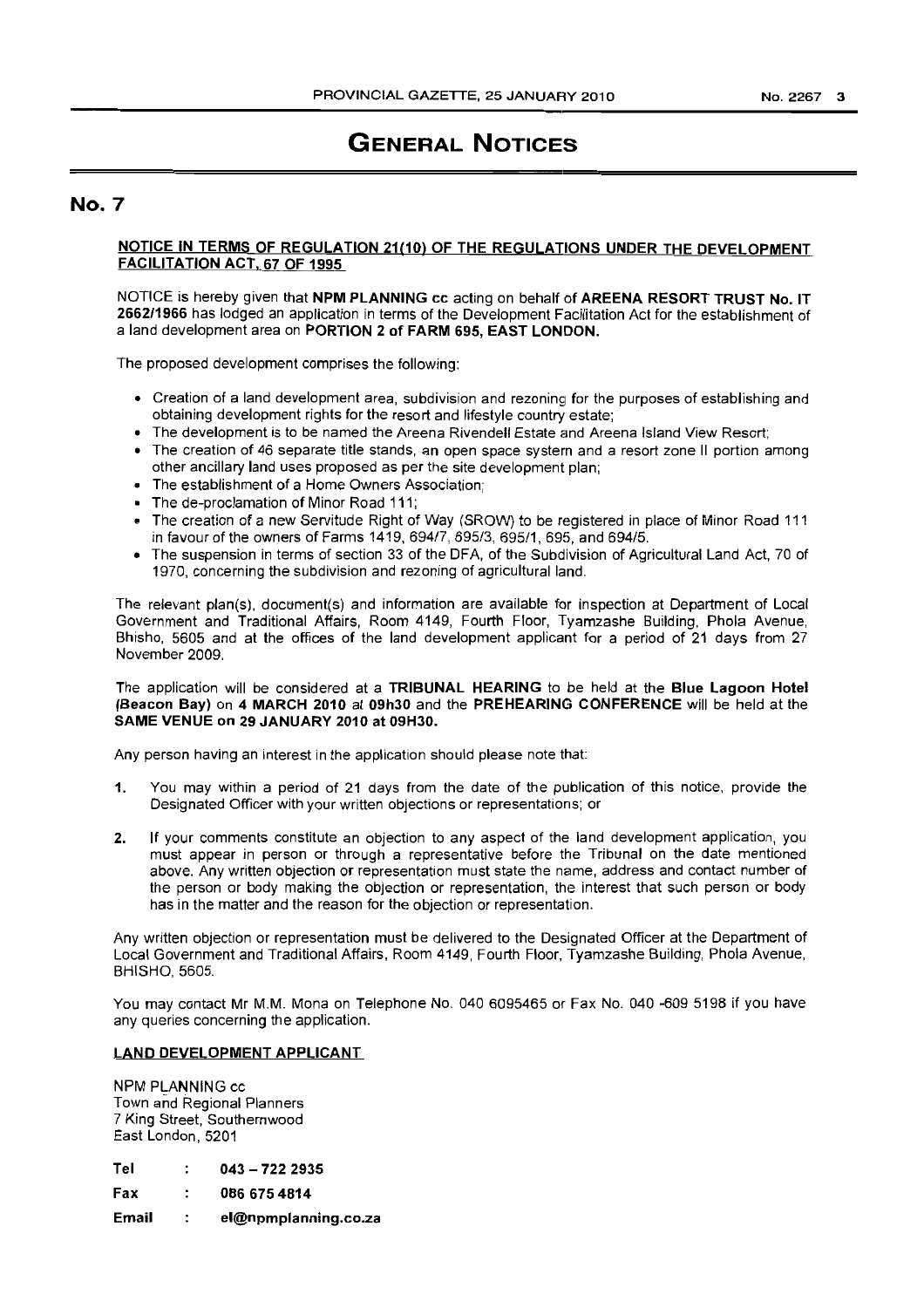# **GENERAL NOTICES**

## **No. 7**

## NOTICE IN TERMS OF REGULATION 21(10) OF THE REGULATIONS UNDER THE DEVELOPMENT FACILITATION ACT, 67 OF 1995

NOTICE is hereby given that NPM PLANNING cc acting on behalf of AREENA RESORT TRUST No. IT 2662/1966 has lodged an application in terms of the Development Facilitation Act for the establishment of a land development area on PORTION 2 of FARM 695, EAST LONDON.

The proposed development comprises the following:

- Creation of a land development area, subdivision and rezoninq for the purposes of establishing and obtaining development rights for the resort and lifestyle country estate;
- The development is to be named the Areena Rivendell Estate and Areena Island View Resort;
- The creation of 46 separate title stands, an open space system and a resort zone II portion among other ancillary land uses proposed as per the site development plan;
- The establishment of a Home Owners Association;
- The de-proclamation of Minor Road 111;
- @ The creation of a new Servitude Right of Way (SROW) to be registered in place of Minor Road 111 in favour of the owners of Farms 1419, 694/7, 695/3, 695/1, 695, and 694/5.
- The suspension in terms of section 33 of the DFA, of the Subdivision of Agricultural Land Act, 70 of 1970, concerning the subdivision and rezoning of agricultural land.

The relevant plan(s), document(s) and information are available for inspection at Department of Local Government and Traditional Affairs, Room 4149, Fourth Floor, Tyamzashe Building, Phola Avenue, Bhisho, 5605 and at the offices of the land development applicant for a period of 21 days from 27 November 2009.

### The application will be considered at a TRIBUNAL HEARING to be held at the Blue Lagoon Hotel (Beacon Bay) on 4 MARCH 2010 at 09h30 and the PREHEARING CONFERENCE will be held at the SAME VENUE on 29 JANUARY 2010 at 09H30.

Any person having an interest in the application should please note that:

- 1. You may within a period of 21 days from the date of the publication of this notice, provide the Designated Officer with your written objections or representations; or
- 2. If your comments constitute an objection to any aspect of the land development application, you must appear in person or through a representative before the Tribunal on the date mentioned above. Any written objection or representation must state the name, address and contact number of the person or body making the objection or representation, the interest that such person or body has in the matter and the reason for the objection or representation.

Any written objection or representation must be delivered to the Designated Officer at the Department of Local Government and Traditional Affairs, Room 4149, Fourth Floor, Tyamzashe Building, Phola Avenue, BHISHO, 5605.

You may contact Mr M.M. Mona on Telephone No. 0406095465 or Fax No. 040 -609 5198 if you have any queries concerning the application.

## LAND DEVELOPMENT APPLICANT

NPM PLANNING cc Town and Regional Planners 7 King Street, Southernwood East London, 5201

| Tel | $043 - 7222335$ |
|-----|-----------------|
| Fax | 086 675 4814    |

Email el@npmplanning.co.za $\sim$  :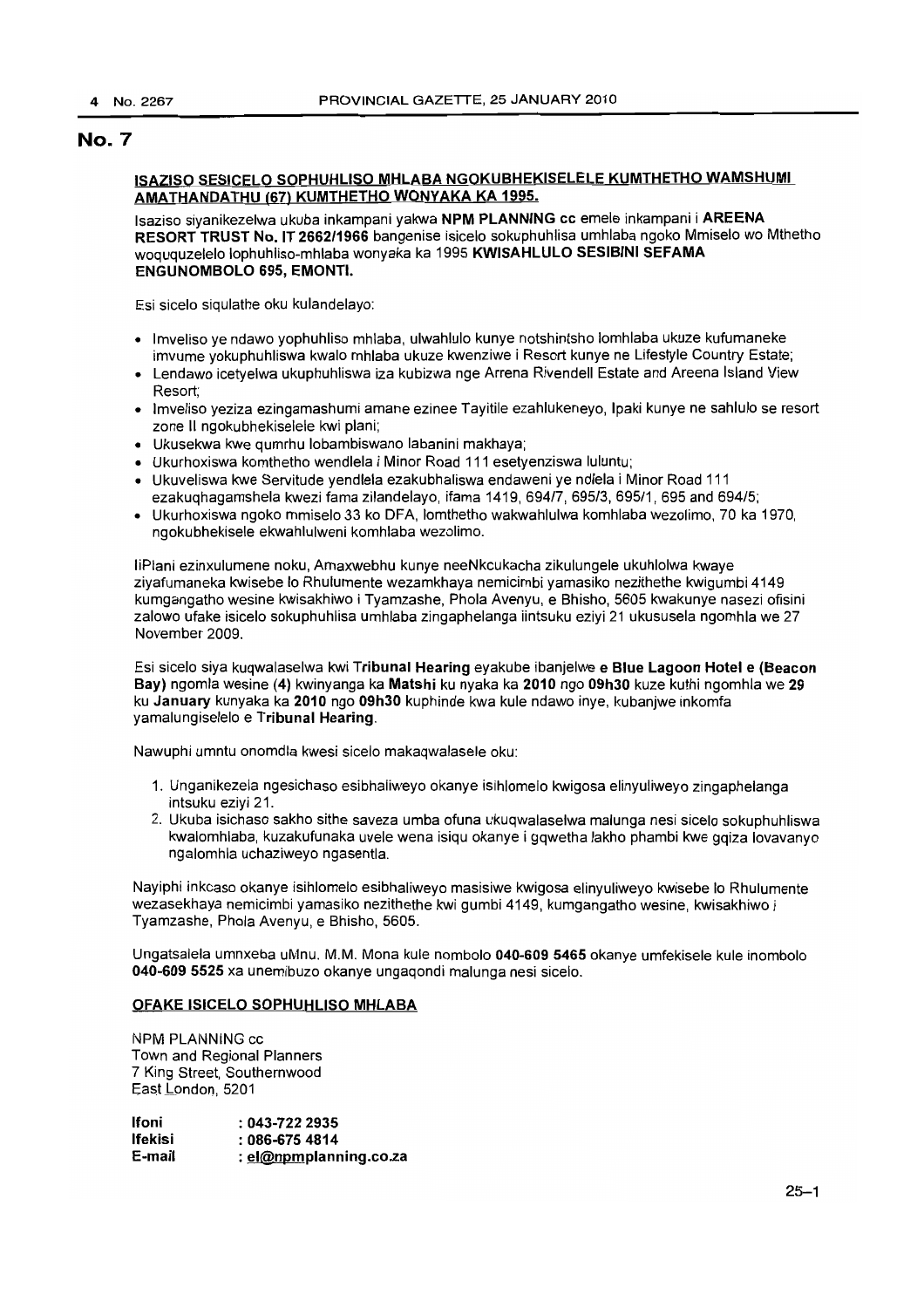## ISAZISO SESICELO SOPHUHLlSO MHLABA NGOKUBHEKISELELE KUMTHETHO WAMSHUMI AMATHANDATHU (67) KUMTHETHO WONYAKA KA 1995.

Isaziso siyanikezelwa ukuba inkampani yakwa NPM PLANNING cc emele inkampani i AREENA RESORT TRUST No. IT 2662/1966 bangenise isicelo sokuphuhlisa umhlaba ngoko Mmiselo wo Mthetho woququzelelo lophuhliso-mhlaba wonyaka ka 1995 KWISAHLULO SESIBINI SEFAMA ENGUNOMBOLO 695, EMONTI.

Esi sicelo siqulathe oku kulandelayo:

- Imveliso ye ndawo yophuhliso mhlaba, ulwahlulo kunye notshintsho lomhlaba ukuze kufumaneke imvume yokuphuhliswa kwalo mhlaba ukuze kwenziwe i Resort kunye ne Lifestyle Country Estate;
- Lendawo icetyelwa ukuphuhliswa iza kubizwa nge Arrena Rivendell Estate and Areena Island View Resort;
- Imveliso yeziza ezingamashumi amane ezinee Tayitile ezahlukeneyo, Ipaki kunye ne sahlulo se resort zone II ngokubhekiselele kwi plani;
- Ukusekwa kwe qumrhu lobambiswano labanini makhaya;
- Ukurhoxiswa komthetho wendlela i Minor Road 111 esetyenziswa luluntu;
- Ukuveliswa kwe Servitude yendlela ezakubhaliswa endaweni ye ndlela i Minor Road 111 ezakuqhagamshela kwezi fama zilandelayo, ifama 1419, 694/7, 695/3, 695/1, 695 and 694/5;
- Ukurhoxiswa ngoko mmiselo 33 ko DFA, lomthetho wakwahlulwa komhlaba wezolimo, 70 ka 1970, ngokubhekisele ekwahlulweni komhlaba wezolimo.

liPlani ezinxulumene noku, Amaxwebhu kunye neeNkcukacha zikulungele ukuhlolwa kwaye ziyafumaneka kwisebe <sup>10</sup> Rhulumente wezamkhaya nemicimbi yamasiko nezithethe kwigumbi 4149 kumgangatho wesine kwisakhiwo i Tyamzashe, Phola Avenyu, e Bhisho, 5605 kwakunye nasezi ofisini zalowo ufake isicelo sokuphuhlisa umhlaba zingaphelanga iintsuku eziyi 21 ukususela ngomhla we 27 November 2009.

Esi sicelo siya kuqwalaselwa kwi Tribunal Hearing eyakube ibanjelwe e Blue Lagoon Hotel e (Beacon Bay) ngomla wesine (4) kwinyanga ka Matshi ku nyaka ka 2010 ngo 09h30 kuze kuthi ngomhla we 29 ku January kunyaka ka 2010 ngo 09h30 kuphinde kwa kule ndawo inye, kubanjwe inkomfa yamalungiselelo e Tribunal Hearing.

Nawuphi umntu onomdla kwesi sicelo makaqwalasele oku:

- 1. Unganikezela ngesichaso esibhaliweyo okanye isihlomelo kwigosa elinyuliweyo zingaphelanga intsuku eziyi 21.
- 2. Ukuba isichaso sakho sithe saveza umba ofuna ukuqwalaselwa malunga nesi sicelo sokuphuhliswa kwalomhlaba, kuzakufunaka uvele wena isiqu okanye i gqwetha lakho phambi kwe gqiza lovavanyo ngalomhla uchaziweyo ngasentla.

Nayiphi inkcaso okanye isihlomelo esibhaliweyo masisiwe kwigosa elinyuliweyo kwisebe 10 Rhulumente wezasekhaya nemicimbi yamasiko nezithethe kwi gumbi 4149, kumgangatho wesine, kwisakhiwo i Tyamzashe, Phola Avenyu, e Bhisho, 5605.

Ungatsalela umnxeba uMnu. M.M. Mona kule nombolo 040-609 5465 okanye umfekisele kule inombolo 040-609 5525 xa unemibuzo okanye ungaqondi malunga nesi sicelo.

#### OFAKE ISICELO SOPHUHLlSO MHLABA

NPM PLANNiNG cc Town and Regional Planners 7 King Street, Southernwood East London, 5201

| Ifoni   | $: 043 - 7222935$      |
|---------|------------------------|
| lfekisi | $:086-6754814$         |
| E-mail  | : el@npmplanning.co.za |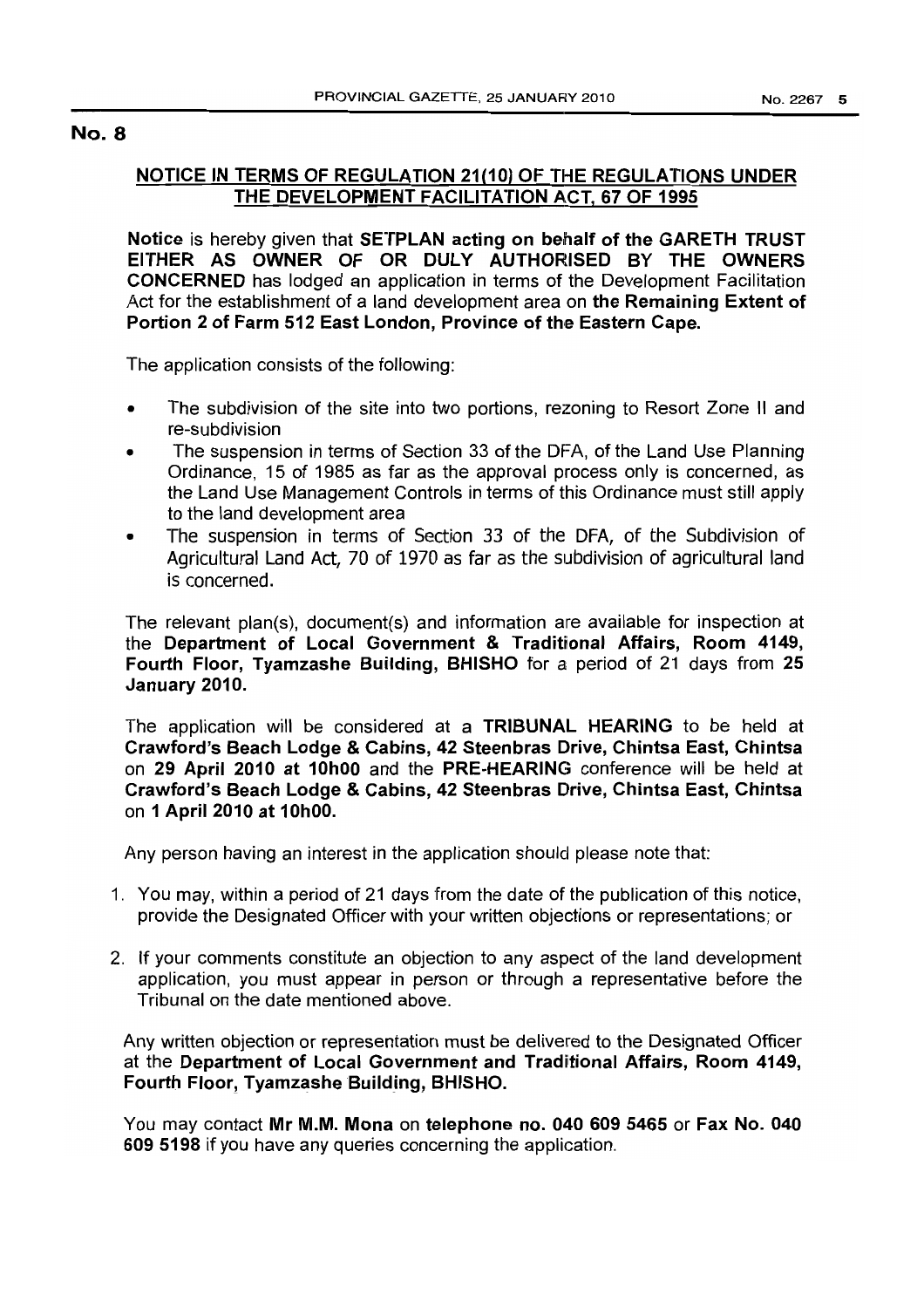## NOTICE IN TERMS OF REGULATION 21(10) OF THE REGULATIONS UNDER THE DEVELOPMENT FACILITATION ACT, 67 OF 1995

Notice is hereby given that SETPLAN acting on behalf of the GARETH TRUST EITHER AS OWNER OF OR DULY AUTHORISED BY THE OWNERS CONCERNED has lodged an application in terms of the Development Facilitation Act for the establishment of a land development area on the Remaining Extent of Portion 2 of Farm 512 East London, Province of the Eastern Cape.

The application consists of the following:

- The subdivision of the site into two portions, rezoning to Resort Zone II and re-subdivision
- The suspension in terms of Section 33 of the DFA, of the Land Use Planning Ordinance, 15 of 1985 as far as the approval process only is concerned, as the Land Use Management Controls in terms of this Ordinance must still apply to the land development area
- The suspension in terms of Section 33 of the DFA, of the Subdivision of Agricultural Land Act, 70 of 1970 as far as the subdivision of agricultural land is concerned.

The relevant plan(s), document(s) and information are available for inspection at the Department of Local Government & Traditional Affairs, Room 4149, Fourth Floor, Tyamzashe Building, BHISHO for a period of 21 days from 25 January 2010.

The application will be considered at a TRIBUNAL HEARING to be held at Crawford's Beach Lodge & Cabins, 42 Steenbras Drive, Chintsa East, Chintsa on 29 April 2010 at 10hOO and the PRE-HEARING conference will be held at Crawford's Beach Lodge & Cabins, 42 Steenbras Drive, Chintsa East, Chintsa on 1 April 2010 at 10hOO.

Any person having an interest in the application should please note that:

- 1. You may, within a period of 21 days from the date of the publication of this notice, provide the Designated Officer with your written objections or representations; or
- 2. If your comments constitute an objection to any aspect of the land development application, you must appear in person or through a representative before the Tribunal on the date mentioned above.

Any written objection or representation must be delivered to the Designated Officer at the Department of Local Government and Traditional Affairs, Room 4149, Fourth Floor, Tyamzashe Building, BHISHO.

You may contact Mr M.M. Mona on telephone no. 040 609 5465 or Fax No. 040 609 5198 if you have any queries concerning the application.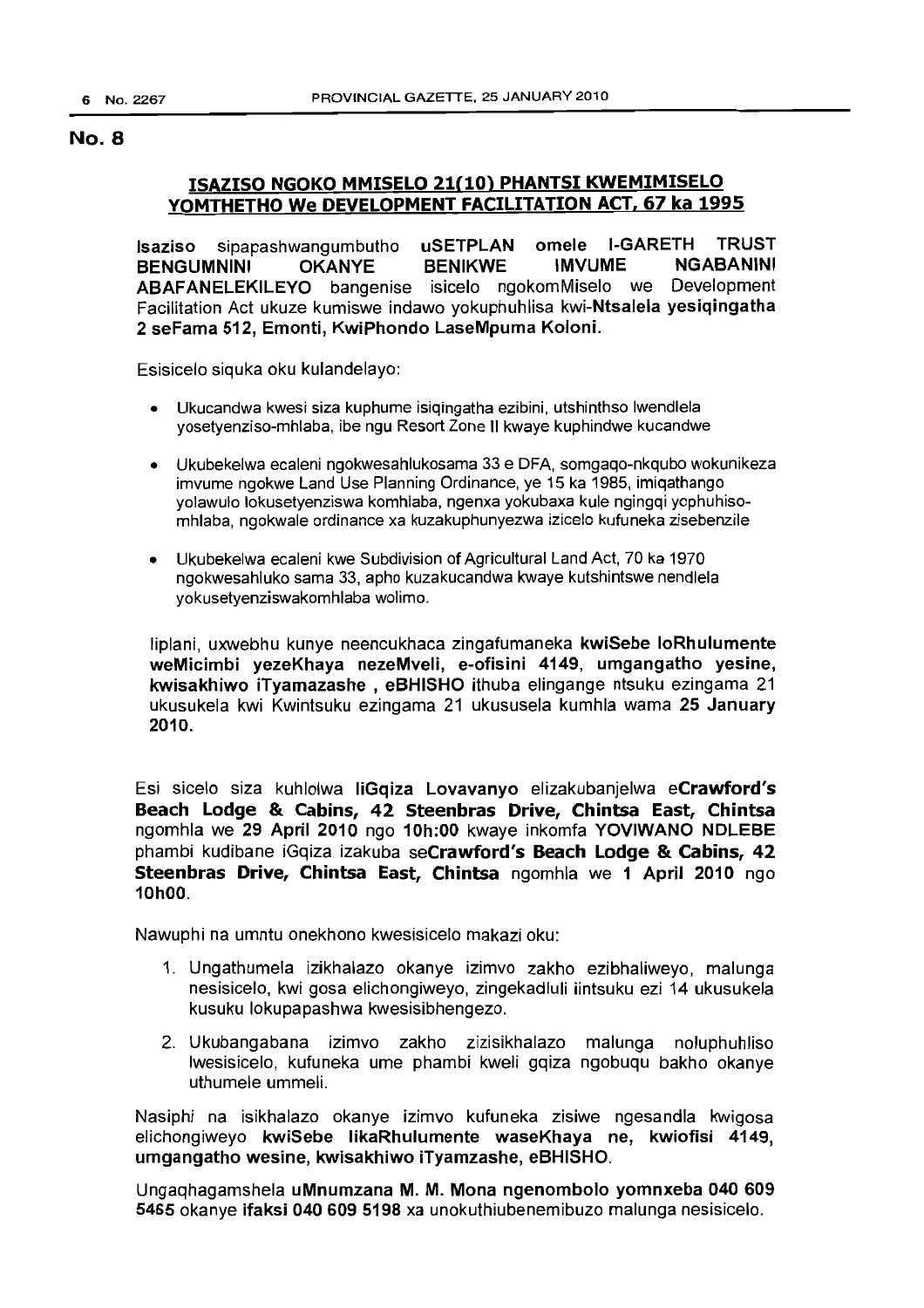## ISAZISO NGOKO MMISELO 21(10) PHANTSI KWEMIMISELO YOMTHETHO We DEVELOPMENT FACILITATION ACT, 67 ka 1995

Isaziso sipapashwangumbutho uSETPLAN omele I-GARETH TRUST BENGUMNINI OKANYE BENIKWE IMVUME ABAFANELEKILEYO bangenise isicelo ngokomMiselo we Development Facilitation Act ukuze kumiswe indawo yokuphuhlisa kwi-Ntsalela yesiqingatha 2 seFama 512, Emonti, KwiPhondo LaseMpuma Koloni.

Esisicelo siquka oku kulandelayo:

- Ukucandwa kwesi siza kuphume isiqingatha ezibini, utshinthso Iwendlela yosetyenziso-mhlaba, ibe ngu Resort Zone II kwaye kuphindwe kucandwe
- Ukubekelwa ecaleni ngokwesahlukosama 33 e DFA, somgaqo-nkqubo wokunikeza imvume ngokwe Land Use Planning Ordinance, ye 15 ka 1985, imiqathango yolawulo lokusetyenziswa komhlaba, ngenxa yokubaxa kule ngingqi yophuhisomhlaba, ngokwale ordinance xa kuzakuphunyezwa izicelo kufuneka zisebenzile
- Ukubekelwa ecaleni kwe Subdivision of Agricultural Land Act, 70 ka 1970 ngokwesahluko sama 33, apho kuzakucandwa kwaye kutshintswe nendlela yokusetyenziswakomhlaba wolimo.

Iiplani, uxwebhu kunye neencukhaca zingafumaneka kwiSebe loRhulumente weMicimbi yezeKhaya nezeMveli, e-ofisini 4149, umgangatho yesine, kwisakhiwo iTyamazashe , eBHISHO ithuba elingange ntsuku ezingama 21 ukusukela kwi Kwintsuku ezingama 21 ukususela kumhla wama 25 January 2010.

Esi sicelo siza kuhlolwa liGqiza Lovavanyo elizakubanjelwa eCrawford's Beach Lodge & Cabins, 42 Steenbras Drive, Chintsa East, Chintsa ngomhla we 29 April 2010 ngo 10h:00 kwaye inkomfa YOVIWANO NDLEBE phambi kudibane iGqiza izakuba seCrawford's Beach Lodge & Cabins, 42 Steenbras Drive, Chintsa East, Chintsa ngomhla we 1 April 2010 ngo 10hOO.

Nawuphi na umntu onekhono kwesisicelo makazi oku:

- 1. Ungathumela izikhalazo okanye izimvo zakho ezibhaliweyo, malunga nesisicelo, kwi gosa elichongiweyo, zingekadluli iintsuku ezi 14 ukusukela kusuku lokupapashwa kwesisibhengezo.
- 2. Ukubangabana izimvo zakho zizisikhalazo malunga noluphuhliso Iwesisicelo, kufuneka ume phambi kweli gqiza ngobuqu bakho okanye uthumele ummeli.

Nasiphi na isikhalazo okanye izimvo kufuneka zisiwe ngesandla kwigosa elichongiweyo kwiSebe likaRhulumente waseKhaya *ne,* kwiofisi 4149, umgangatho wesine, kwisakhiwo iTyamzashe, eBHISHO.

Ungaqhagamshela uMnumzana M. M. Mona ngenombolo yomnxeba 040 609 5465 okanye ifaksi 040 609 5198 xa unokuthiubenemibuzo malunga nesisicelo.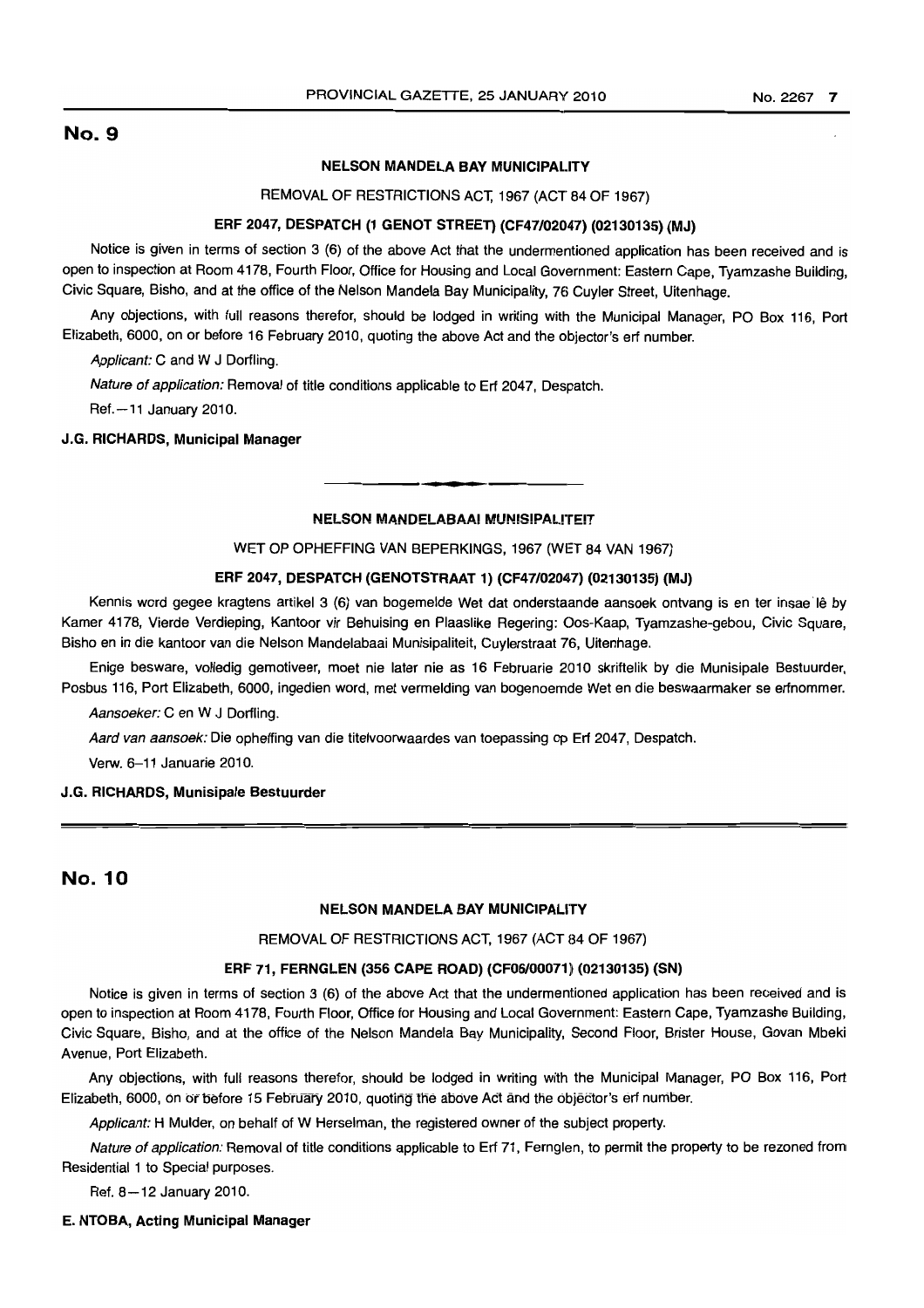#### NELSON MANDELA BAY MUNICIPALITY

REMOVAL OF RESTRICTIONS ACT, 1967 (ACT 84 OF 1967)

### ERF 2047, DESPATCH (1 GENOT STREET) (CF47/02047) (02130135) (MJ)

Notice is given in terms of section 3 (6) of the above Act that the undermentioned application has been received and is open to inspection at Room 4178, Fourth Floor, Office for Housing and Local Government: Eastern Cape, Tyamzashe Building, Civic Square, Bisho, and at the office of the Nelson Mandela Bay Municipality, 76 Cuyler Street, Uitenhage.

Any objections, with full reasons therefor, should be lodged in writing with the Municipal Manager, PO Box 116, Port Elizabeth, 6000, on or before 16 February 2010, quoting the above Act and the objector's ert number.

Applicant: C and W J Dorfling.

Nature of application: Removal of title conditions applicable to Ert 2047, Despatch.

Ref.-11 January 2010.

### J.G. RICHARDS, Municipal Manager

#### NELSON MANDELABAAI MUNISIPALITEIT

• **• •**

## WET OP OPHEFFING VAN BEPERKINGS, 1967 (WET 84 VAN 1967)

#### ERF 2047, DESPATCH (GENOTSTRAAT 1) (CF47/02047) (02130135) (MJ)

Kennis word gegee kragtens artikel 3 (6) van bogemelde Wet dat onderstaande aansoek ontvang is en ter insae Iê by Kamer 4178, Vierde Verdieping, Kantoor vir Behuising en Plaaslike Regering: Oos-Kaap, Tyamzashe-gebou, Civic Square, Bisho en in die kantoor van die Nelson Mandelabaai Munisipaliteit, Cuylerstraat 76, Uitenhage.

Enige besware, volledig gemotiveer, moet nie later nie as 16 Februarie 2010 skriftelik by die Munisipale Bestuurder, Posbus 116, Port Elizabeth, 6000, ingedien word, met vermelding van bogenoemde Wet en die beswaarmaker se erfnommer.

Aansoeker: C en W J Dorfling.

Aard van aansoek: Die opheffing van die titelvoorwaardes van toepassing op Ert 2047, Despatch.

Verw. 6-11 Januarie 2010.

#### J.G. RICHARDS, Munisipale Bestuurder

## No. 10

### NELSON MANDELA BAY MUNICIPALITY

#### REMOVAL OF RESTRICTIONS ACT, 1967 (ACT 84 OF 1967)

#### ERF 71, FERNGLEN (356 CAPE ROAD) (CF06/00071) (02130135) (SN)

Notice is given in terms of section 3 (6) of the above Act that the undermentioned application has been received and is open to inspection at Room 4178, Fourth Floor, Office for Housing and Local Government: Eastern Cape, Tyamzashe Building, Civic Square, Bisho, and at the office of the Nelson Mandela Bay Municipality, Second Floor, Brister House, Govan Mbeki Avenue, Port Elizabeth.

Any objections, with full reasons therefor, should be lodged in writing with the Municipal Manager, PO Box 116, Port Elizabeth, 6000, on or before 15 February 2010, quoting the above Act and the objector's erf number.

Applicant: H Mulder, on behalf of W Herselman, the registered owner of the subject property.

Nature of application: Removal of title conditions applicable to Ert 71, Fernglen, to permit the property to be rezoned from Residential 1 to Special purposes.

Ref. 8-12 January 2010.

#### E. NTOBA, Acting Municipal Manager